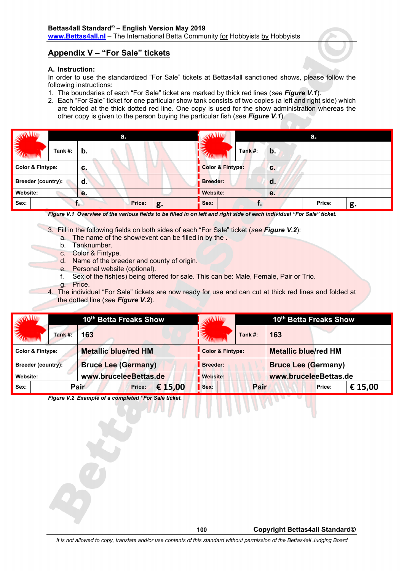## **Appendix V – "For Sale" tickets**

## **A. Instruction:**

In order to use the standardized "For Sale" tickets at Bettas4all sanctioned shows, please follow the following instructions:

- 1. The boundaries of each "For Sale" ticket are marked by thick red lines (*see Figure V.1*).
- 2. Each "For Sale" ticket for one particular show tank consists of two copies (a left and right side) which are folded at the thick dotted red line. One copy is used for the show administration whereas the other copy is given to the person buying the particular fish (*see Figure V.1*).

| <b>WAVEL</b>                | а.      |    |        |    | فلللابي<br>a.    |         |               |        |    |
|-----------------------------|---------|----|--------|----|------------------|---------|---------------|--------|----|
| <b>EMERGIN</b>              | Tank #: | b. |        |    |                  | Tank #: | $\mathbf b$ . |        |    |
| <b>Color &amp; Fintype:</b> |         | С. |        |    | Color & Fintype: |         | С.            |        |    |
| <b>Breeder (country):</b>   |         | d. |        |    | <b>Breeder:</b>  | d.      |               |        |    |
| Website:                    |         | е. |        |    | Website:         |         | е.            |        |    |
| Sex:                        |         |    | Price: | g. | Sex:             |         |               | Price: | g. |

*Figure V.1 Overview of the various fields to be filled in on left and right side of each individual "For Sale" ticket.*

- 3. Fill in the following fields on both sides of each "For Sale" ticket (*see Figure V.2*):
	- a. The name of the show/event can be filled in by the .
	- b. Tanknumber.
	- c. Color & Fintype.
	- d. Name of the breeder and county of origin.
	- e. Personal website (optional).
	- f. Sex of the fish(es) being offered for sale. This can be: Male, Female, Pair or Trio.
	- g. Price.
- 4. The individual "For Sale" tickets are now ready for use and can cut at thick red lines and folded at the dotted line (*see Figure V.2*).

| فكللحوي                     |         | 10th Betta Freaks Show |                             |        |         | <b>WANTE</b>                           | 10th Betta Freaks Show |                             |                       |         |  |
|-----------------------------|---------|------------------------|-----------------------------|--------|---------|----------------------------------------|------------------------|-----------------------------|-----------------------|---------|--|
| <b>TALLING</b>              | Tank #: |                        | 163                         |        |         |                                        | Tank $#$ :             | 163                         |                       |         |  |
| <b>Color &amp; Fintype:</b> |         |                        | <b>Metallic blue/red HM</b> |        |         | Color & Fintype:                       |                        | <b>Metallic blue/red HM</b> |                       |         |  |
| Breeder (country):          |         |                        | <b>Bruce Lee (Germany)</b>  |        |         | Breeder:<br><b>Bruce Lee (Germany)</b> |                        |                             |                       |         |  |
| Website:                    |         |                        | www.bruceleeBettas.de       |        |         | <b>Website:</b>                        |                        |                             | www.bruceleeBettas.de |         |  |
| Sex:                        | Pair    |                        |                             | Price: | € 15,00 | Sex:                                   | Pair                   |                             | Price:                | € 15,00 |  |

*Figure V.2 Example of a completed "For Sale ticket.*

*It is not allowed to copy, translate and/or use contents of this standard without permission of the Bettas4all Judging Board*